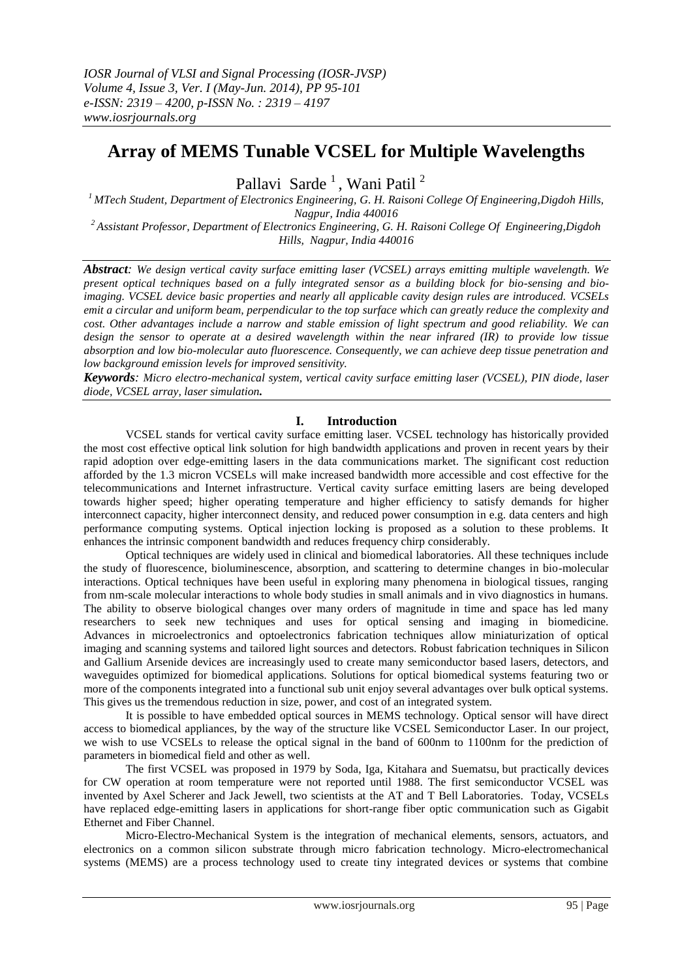# **Array of MEMS Tunable VCSEL for Multiple Wavelengths**

Pallavi Sarde<sup>1</sup>, Wani Patil<sup>2</sup>

*<sup>1</sup>MTech Student, Department of Electronics Engineering, G. H. Raisoni College Of Engineering,Digdoh Hills, Nagpur, India 440016*

*<sup>2</sup>Assistant Professor, Department of Electronics Engineering, G. H. Raisoni College Of Engineering,Digdoh Hills, Nagpur, India 440016*

*Abstract: We design vertical cavity surface emitting laser (VCSEL) arrays emitting multiple wavelength. We present optical techniques based on a fully integrated sensor as a building block for bio-sensing and bioimaging. VCSEL device basic properties and nearly all applicable cavity design rules are introduced. VCSELs emit a circular and uniform beam, perpendicular to the top surface which can greatly reduce the complexity and cost. Other advantages include a narrow and stable emission of light spectrum and good reliability. We can design the sensor to operate at a desired wavelength within the near infrared (IR) to provide low tissue absorption and low bio-molecular auto fluorescence. Consequently, we can achieve deep tissue penetration and low background emission levels for improved sensitivity.*

*Keywords: Micro electro-mechanical system, vertical cavity surface emitting laser (VCSEL), PIN diode, laser diode, VCSEL array, laser simulation.*

## **I. Introduction**

VCSEL stands for vertical cavity surface emitting laser. VCSEL technology has historically provided the most cost effective optical link solution for high bandwidth applications and proven in recent years by their rapid adoption over edge-emitting lasers in the data communications market. The significant cost reduction afforded by the 1.3 micron VCSELs will make increased bandwidth more accessible and cost effective for the telecommunications and Internet infrastructure. Vertical cavity surface emitting lasers are being developed towards higher speed; higher operating temperature and higher efficiency to satisfy demands for higher interconnect capacity, higher interconnect density, and reduced power consumption in e.g. data centers and high performance computing systems. Optical injection locking is proposed as a solution to these problems. It enhances the intrinsic component bandwidth and reduces frequency chirp considerably.

Optical techniques are widely used in clinical and biomedical laboratories. All these techniques include the study of fluorescence, bioluminescence, absorption, and scattering to determine changes in bio-molecular interactions. Optical techniques have been useful in exploring many phenomena in biological tissues, ranging from nm-scale molecular interactions to whole body studies in small animals and in vivo diagnostics in humans. The ability to observe biological changes over many orders of magnitude in time and space has led many researchers to seek new techniques and uses for optical sensing and imaging in biomedicine. Advances in microelectronics and optoelectronics fabrication techniques allow miniaturization of optical imaging and scanning systems and tailored light sources and detectors. Robust fabrication techniques in Silicon and Gallium Arsenide devices are increasingly used to create many semiconductor based lasers, detectors, and waveguides optimized for biomedical applications. Solutions for optical biomedical systems featuring two or more of the components integrated into a functional sub unit enjoy several advantages over bulk optical systems. This gives us the tremendous reduction in size, power, and cost of an integrated system.

It is possible to have embedded optical sources in MEMS technology. Optical sensor will have direct access to biomedical appliances, by the way of the structure like VCSEL Semiconductor Laser. In our project, we wish to use VCSELs to release the optical signal in the band of 600nm to 1100nm for the prediction of parameters in biomedical field and other as well.

The first VCSEL was proposed in 1979 by Soda, Iga, Kitahara and Suematsu, but practically devices for [CW](http://en.wikipedia.org/wiki/Continuous_Wave) operation at room temperature were not reported until 1988. The first semiconductor VCSEL was invented by [Axel Scherer](http://en.wikipedia.org/wiki/Axel_Scherer_%28professor%29) and Jack Jewell, two scientists at the AT and T [Bell Laboratories.](http://en.wikipedia.org/wiki/Bell_Laboratories) Today, VCSELs have replaced edge-emitting lasers in applications for short-range fiber optic communication such as [Gigabit](http://en.wikipedia.org/wiki/Gigabit_Ethernet)  [Ethernet](http://en.wikipedia.org/wiki/Gigabit_Ethernet) and Fiber [Channel.](http://en.wikipedia.org/wiki/Fibre_Channel)

Micro-Electro-Mechanical System is the integration of mechanical elements, sensors, actuators, and electronics on a common silicon substrate through micro fabrication technology. Micro-electromechanical systems (MEMS) are a process technology used to create tiny integrated devices or systems that combine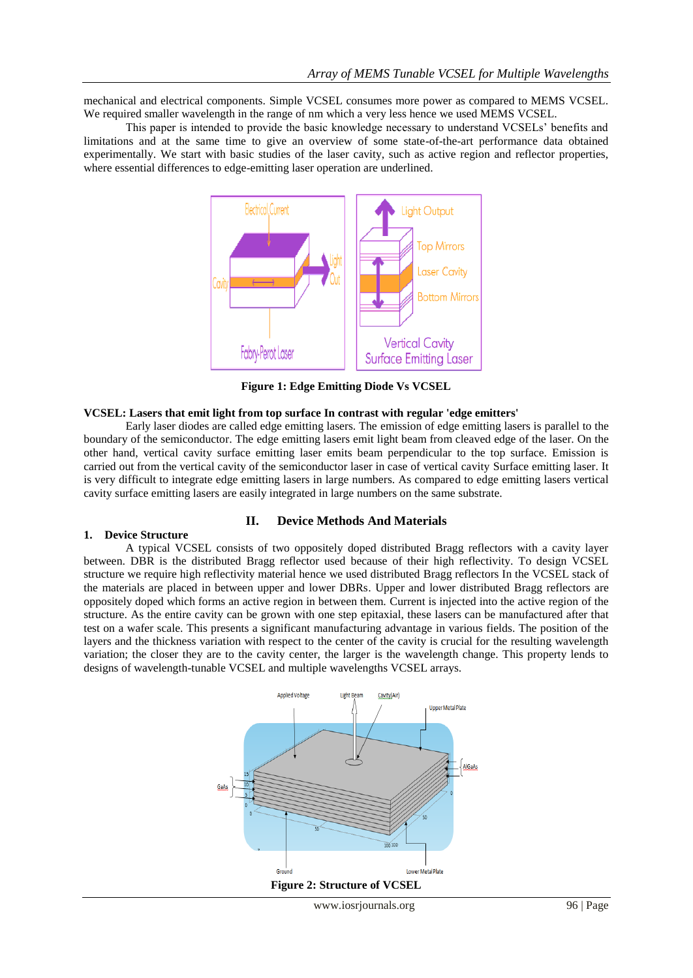mechanical and electrical components. Simple VCSEL consumes more power as compared to MEMS VCSEL. We required smaller wavelength in the range of nm which a very less hence we used MEMS VCSEL.

This paper is intended to provide the basic knowledge necessary to understand VCSELs' benefits and limitations and at the same time to give an overview of some state-of-the-art performance data obtained experimentally. We start with basic studies of the laser cavity, such as active region and reflector properties, where essential differences to edge-emitting laser operation are underlined.



**Figure 1: Edge Emitting Diode Vs VCSEL**

#### **VCSEL: Lasers that emit light from top surface In contrast with regular 'edge emitters'**

Early laser diodes are called edge emitting lasers. The emission of edge emitting lasers is parallel to the boundary of the semiconductor. The edge emitting lasers emit light beam from cleaved edge of the laser. On the other hand, vertical cavity surface emitting laser emits beam perpendicular to the top surface. Emission is carried out from the vertical cavity of the semiconductor laser in case of vertical cavity Surface emitting laser. It is very difficult to integrate edge emitting lasers in large numbers. As compared to edge emitting lasers vertical cavity surface emitting lasers are easily integrated in large numbers on the same substrate.

#### **1. Device Structure**

#### **II. Device Methods And Materials**

A typical VCSEL consists of two oppositely doped distributed Bragg reflectors with a cavity layer between. DBR is the distributed Bragg reflector used because of their high reflectivity. To design VCSEL structure we require high reflectivity material hence we used distributed Bragg reflectors In the VCSEL stack of the materials are placed in between upper and lower DBRs. Upper and lower distributed Bragg reflectors are oppositely doped which forms an active region in between them. Current is injected into the active region of the structure. As the entire cavity can be grown with one step epitaxial, these lasers can be manufactured after that test on a wafer scale. This presents a significant manufacturing advantage in various fields. The position of the layers and the thickness variation with respect to the center of the cavity is crucial for the resulting wavelength variation; the closer they are to the cavity center, the larger is the wavelength change. This property lends to designs of wavelength-tunable VCSEL and multiple wavelengths VCSEL arrays.

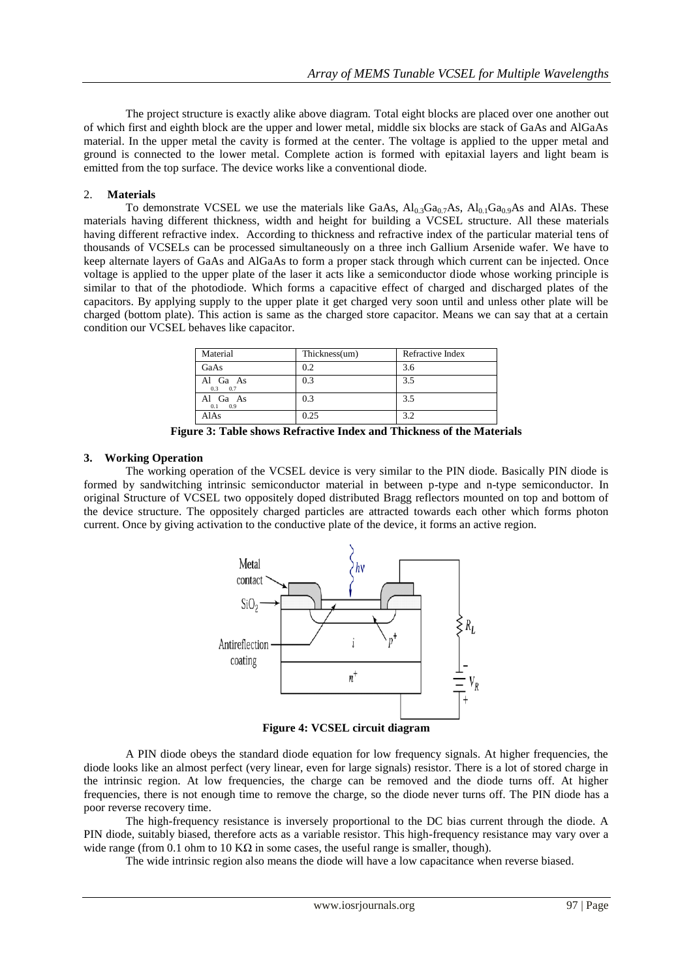The project structure is exactly alike above diagram. Total eight blocks are placed over one another out of which first and eighth block are the upper and lower metal, middle six blocks are stack of GaAs and AlGaAs material. In the upper metal the cavity is formed at the center. The voltage is applied to the upper metal and ground is connected to the lower metal. Complete action is formed with epitaxial layers and light beam is emitted from the top surface. The device works like a conventional diode.

## 2. **Materials**

To demonstrate VCSEL we use the materials like GaAs,  $Al_{0.3}Ga_{0.7}As$ ,  $Al_{0.1}Ga_{0.9}As$  and AlAs. These materials having different thickness, width and height for building a VCSEL structure. All these materials having different refractive index. According to thickness and refractive index of the particular material tens of thousands of VCSELs can be processed simultaneously on a three inch Gallium Arsenide wafer. We have to keep alternate layers of GaAs and AlGaAs to form a proper stack through which current can be injected. Once voltage is applied to the upper plate of the laser it acts like a semiconductor diode whose working principle is similar to that of the photodiode. Which forms a capacitive effect of charged and discharged plates of the capacitors. By applying supply to the upper plate it get charged very soon until and unless other plate will be charged (bottom plate). This action is same as the charged store capacitor. Means we can say that at a certain condition our VCSEL behaves like capacitor.

| Material               | Thickness(um) | Refractive Index |
|------------------------|---------------|------------------|
| GaAs                   | 0.2           | 3.6              |
| Al Ga As<br>$0.3$ 0.7  | 0.3           | 3.5              |
| Al Ga As<br>0.9<br>0.1 | 0.3           | 3.5              |
| AlAs                   | 0.25          | 3.2              |

**Figure 3: Table shows Refractive Index and Thickness of the Materials**

## **3. Working Operation**

The working operation of the VCSEL device is very similar to the PIN diode. Basically PIN diode is formed by sandwitching intrinsic semiconductor material in between p-type and n-type semiconductor. In original Structure of VCSEL two oppositely doped distributed Bragg reflectors mounted on top and bottom of the device structure. The oppositely charged particles are attracted towards each other which forms photon current. Once by giving activation to the conductive plate of the device, it forms an active region.



**Figure 4: VCSEL circuit diagram**

A PIN diode obeys the standard diode equation for low frequency signals. At higher frequencies, the diode looks like an almost perfect (very linear, even for large signals) resistor. There is a lot of stored charge in the [intrinsic region.](http://en.wikipedia.org/wiki/Intrinsic_semiconductor) At low frequencies, the charge can be removed and the diode turns off. At higher frequencies, there is not enough time to remove the charge, so the diode never turns off. The PIN diode has a poor [reverse recovery time.](http://en.wikipedia.org/w/index.php?title=Reverse_recovery_time&action=edit&redlink=1)

The high-frequency resistance is inversely proportional to the DC bias current through the diode. A PIN diode, suitably biased, therefore acts as a variable resistor. This high-frequency resistance may vary over a wide range (from 0.1 ohm to 10 K $\Omega$  in some cases, the useful range is smaller, though).

The wide intrinsic region also means the diode will have a low capacitance when reverse biased.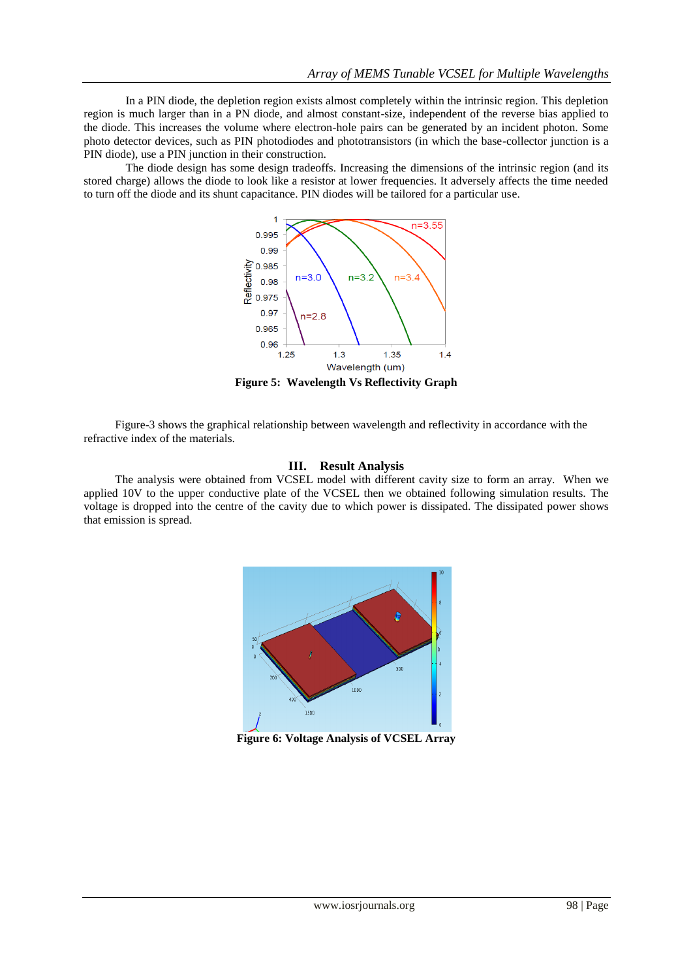In a PIN diode, the depletion region exists almost completely within the intrinsic region. This depletion region is much larger than in a PN diode, and almost constant-size, independent of the reverse bias applied to the diode. This increases the volume where electron-hole pairs can be generated by an incident photon. Some [photo detector](http://en.wikipedia.org/wiki/Photodetector) devices, such as PIN photodiodes and phototransistors (in which the base-collector junction is a PIN diode), use a PIN junction in their construction.

The diode design has some design tradeoffs. Increasing the dimensions of the intrinsic region (and its stored charge) allows the diode to look like a resistor at lower frequencies. It adversely affects the time needed to turn off the diode and its shunt capacitance. PIN diodes will be tailored for a particular use.



**Figure 5: Wavelength Vs Reflectivity Graph**

Figure-3 shows the graphical relationship between wavelength and reflectivity in accordance with the refractive index of the materials.

#### **III. Result Analysis**

The analysis were obtained from VCSEL model with different cavity size to form an array. When we applied 10V to the upper conductive plate of the VCSEL then we obtained following simulation results. The voltage is dropped into the centre of the cavity due to which power is dissipated. The dissipated power shows that emission is spread.



**Figure 6: Voltage Analysis of VCSEL Array**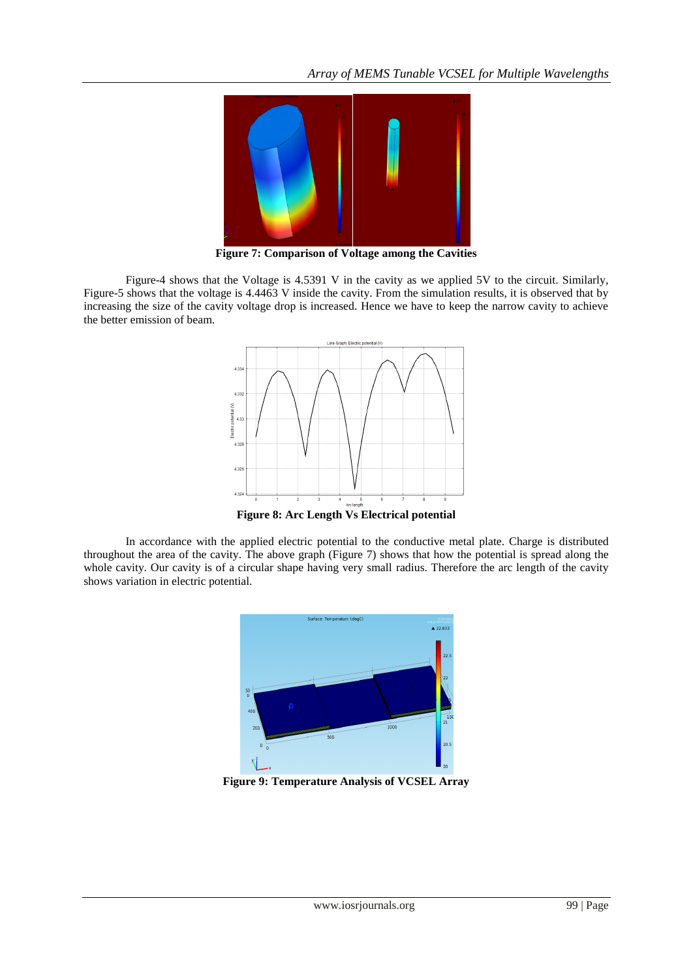

**Figure 7: Comparison of Voltage among the Cavities**

Figure-4 shows that the Voltage is 4.5391 V in the cavity as we applied 5V to the circuit. Similarly, Figure-5 shows that the voltage is 4.4463 V inside the cavity. From the simulation results, it is observed that by increasing the size of the cavity voltage drop is increased. Hence we have to keep the narrow cavity to achieve the better emission of beam.



**Figure 8: Arc Length Vs Electrical potential**

In accordance with the applied electric potential to the conductive metal plate. Charge is distributed throughout the area of the cavity. The above graph (Figure 7) shows that how the potential is spread along the whole cavity. Our cavity is of a circular shape having very small radius. Therefore the arc length of the cavity shows variation in electric potential.



**Figure 9: Temperature Analysis of VCSEL Array**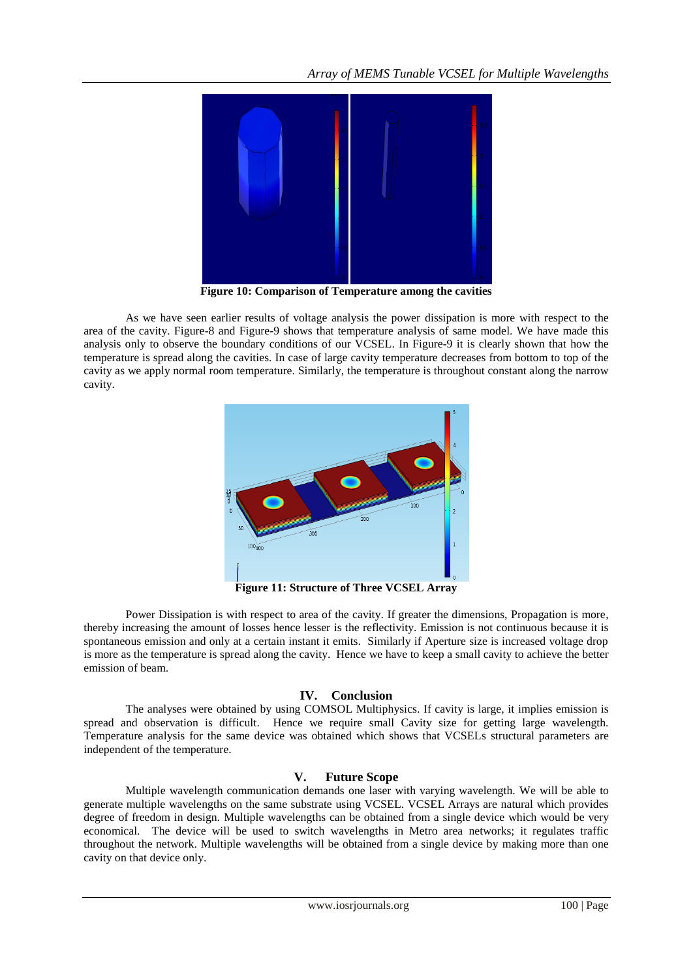

**Figure 10: Comparison of Temperature among the cavities**

As we have seen earlier results of voltage analysis the power dissipation is more with respect to the area of the cavity. Figure-8 and Figure-9 shows that temperature analysis of same model. We have made this analysis only to observe the boundary conditions of our VCSEL. In Figure-9 it is clearly shown that how the temperature is spread along the cavities. In case of large cavity temperature decreases from bottom to top of the cavity as we apply normal room temperature. Similarly, the temperature is throughout constant along the narrow cavity.



**Figure 11: Structure of Three VCSEL Array**

Power Dissipation is with respect to area of the cavity. If greater the dimensions, Propagation is more, thereby increasing the amount of losses hence lesser is the reflectivity. Emission is not continuous because it is spontaneous emission and only at a certain instant it emits. Similarly if Aperture size is increased voltage drop is more as the temperature is spread along the cavity. Hence we have to keep a small cavity to achieve the better emission of beam.

# **IV. Conclusion**

The analyses were obtained by using COMSOL Multiphysics. If cavity is large, it implies emission is spread and observation is difficult. Hence we require small Cavity size for getting large wavelength. Temperature analysis for the same device was obtained which shows that VCSELs structural parameters are independent of the temperature.

## **V. Future Scope**

Multiple wavelength communication demands one laser with varying wavelength. We will be able to generate multiple wavelengths on the same substrate using VCSEL. VCSEL Arrays are natural which provides degree of freedom in design. Multiple wavelengths can be obtained from a single device which would be very economical. The device will be used to switch wavelengths in Metro area networks; it regulates traffic throughout the network. Multiple wavelengths will be obtained from a single device by making more than one cavity on that device only.